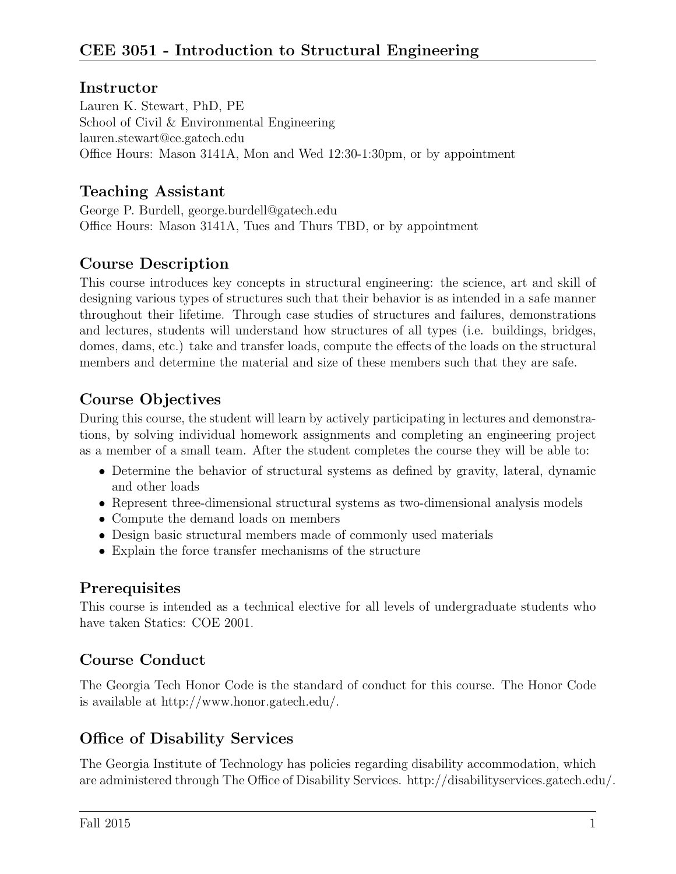#### **Instructor**

Lauren K. Stewart, PhD, PE School of Civil & Environmental Engineering lauren.stewart@ce.gatech.edu Office Hours: Mason 3141A, Mon and Wed 12:30-1:30pm, or by appointment

#### Teaching Assistant

George P. Burdell, george.burdell@gatech.edu Office Hours: Mason 3141A, Tues and Thurs TBD, or by appointment

### Course Description

This course introduces key concepts in structural engineering: the science, art and skill of designing various types of structures such that their behavior is as intended in a safe manner throughout their lifetime. Through case studies of structures and failures, demonstrations and lectures, students will understand how structures of all types (i.e. buildings, bridges, domes, dams, etc.) take and transfer loads, compute the effects of the loads on the structural members and determine the material and size of these members such that they are safe.

### Course Objectives

During this course, the student will learn by actively participating in lectures and demonstrations, by solving individual homework assignments and completing an engineering project as a member of a small team. After the student completes the course they will be able to:

- Determine the behavior of structural systems as defined by gravity, lateral, dynamic and other loads
- Represent three-dimensional structural systems as two-dimensional analysis models
- Compute the demand loads on members
- Design basic structural members made of commonly used materials
- Explain the force transfer mechanisms of the structure

### **Prerequisites**

This course is intended as a technical elective for all levels of undergraduate students who have taken Statics: COE 2001.

### Course Conduct

The Georgia Tech Honor Code is the standard of conduct for this course. The Honor Code is available at http://www.honor.gatech.edu/.

### Office of Disability Services

The Georgia Institute of Technology has policies regarding disability accommodation, which are administered through The Office of Disability Services. http://disabilityservices.gatech.edu/.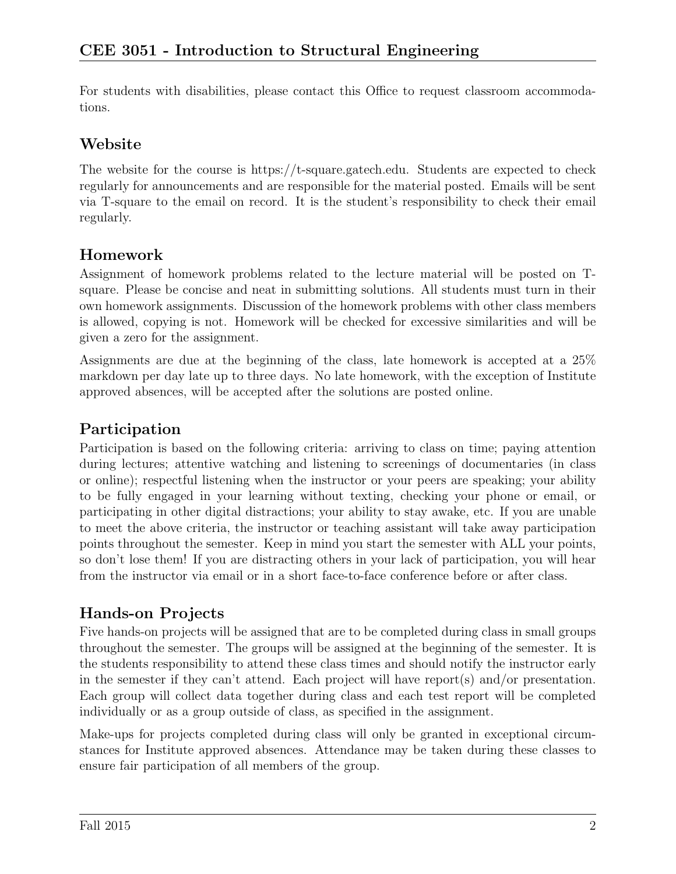For students with disabilities, please contact this Office to request classroom accommodations.

### Website

The website for the course is https://t-square.gatech.edu. Students are expected to check regularly for announcements and are responsible for the material posted. Emails will be sent via T-square to the email on record. It is the student's responsibility to check their email regularly.

## Homework

Assignment of homework problems related to the lecture material will be posted on Tsquare. Please be concise and neat in submitting solutions. All students must turn in their own homework assignments. Discussion of the homework problems with other class members is allowed, copying is not. Homework will be checked for excessive similarities and will be given a zero for the assignment.

Assignments are due at the beginning of the class, late homework is accepted at a 25% markdown per day late up to three days. No late homework, with the exception of Institute approved absences, will be accepted after the solutions are posted online.

## Participation

Participation is based on the following criteria: arriving to class on time; paying attention during lectures; attentive watching and listening to screenings of documentaries (in class or online); respectful listening when the instructor or your peers are speaking; your ability to be fully engaged in your learning without texting, checking your phone or email, or participating in other digital distractions; your ability to stay awake, etc. If you are unable to meet the above criteria, the instructor or teaching assistant will take away participation points throughout the semester. Keep in mind you start the semester with ALL your points, so don't lose them! If you are distracting others in your lack of participation, you will hear from the instructor via email or in a short face-to-face conference before or after class.

# Hands-on Projects

Five hands-on projects will be assigned that are to be completed during class in small groups throughout the semester. The groups will be assigned at the beginning of the semester. It is the students responsibility to attend these class times and should notify the instructor early in the semester if they can't attend. Each project will have report(s) and/or presentation. Each group will collect data together during class and each test report will be completed individually or as a group outside of class, as specified in the assignment.

Make-ups for projects completed during class will only be granted in exceptional circumstances for Institute approved absences. Attendance may be taken during these classes to ensure fair participation of all members of the group.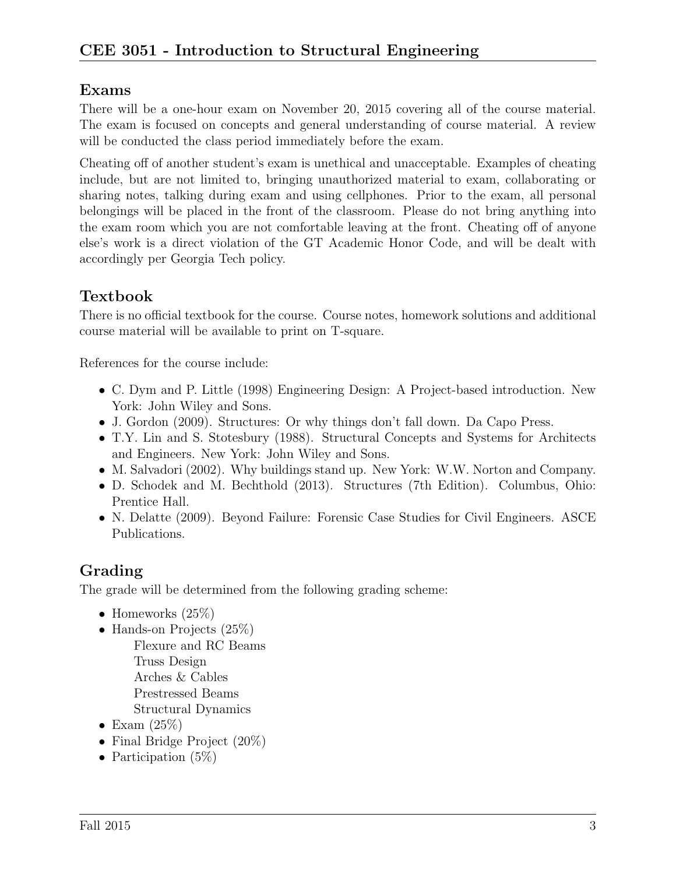### Exams

There will be a one-hour exam on November 20, 2015 covering all of the course material. The exam is focused on concepts and general understanding of course material. A review will be conducted the class period immediately before the exam.

Cheating off of another student's exam is unethical and unacceptable. Examples of cheating include, but are not limited to, bringing unauthorized material to exam, collaborating or sharing notes, talking during exam and using cellphones. Prior to the exam, all personal belongings will be placed in the front of the classroom. Please do not bring anything into the exam room which you are not comfortable leaving at the front. Cheating off of anyone else's work is a direct violation of the GT Academic Honor Code, and will be dealt with accordingly per Georgia Tech policy.

# Textbook

There is no official textbook for the course. Course notes, homework solutions and additional course material will be available to print on T-square.

References for the course include:

- C. Dym and P. Little (1998) Engineering Design: A Project-based introduction. New York: John Wiley and Sons.
- J. Gordon (2009). Structures: Or why things don't fall down. Da Capo Press.
- T.Y. Lin and S. Stotesbury (1988). Structural Concepts and Systems for Architects and Engineers. New York: John Wiley and Sons.
- M. Salvadori (2002). Why buildings stand up. New York: W.W. Norton and Company.
- D. Schodek and M. Bechthold (2013). Structures (7th Edition). Columbus, Ohio: Prentice Hall.
- N. Delatte (2009). Beyond Failure: Forensic Case Studies for Civil Engineers. ASCE Publications.

### Grading

The grade will be determined from the following grading scheme:

- Homeworks  $(25\%)$
- Hands-on Projects (25%) Flexure and RC Beams Truss Design Arches & Cables Prestressed Beams Structural Dynamics
- Exam  $(25%)$
- Final Bridge Project (20%)
- Participation (5\%)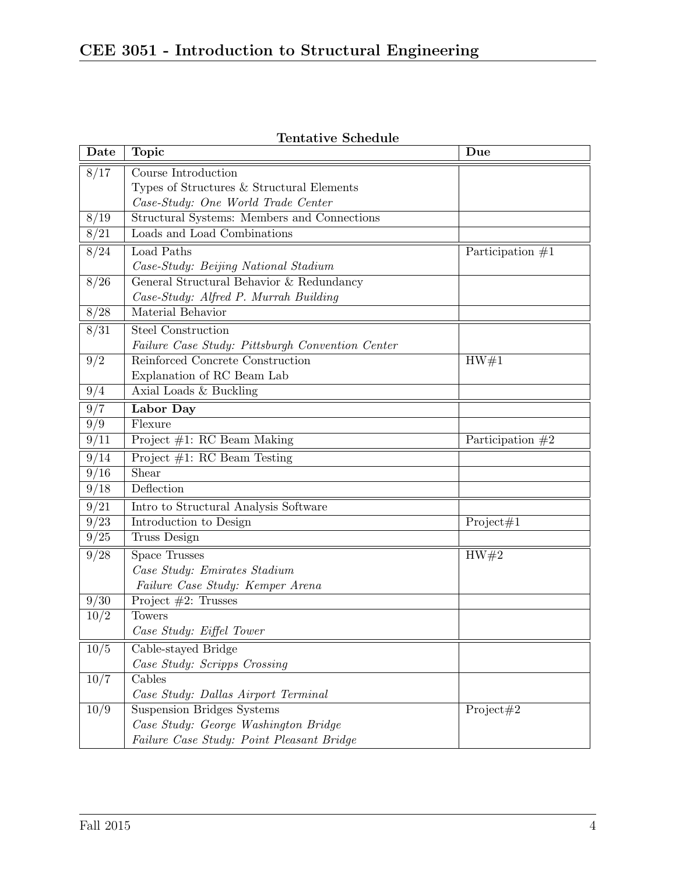| Date | <b>Topic</b>                                     | Due                |
|------|--------------------------------------------------|--------------------|
| 8/17 | Course Introduction                              |                    |
|      | Types of Structures & Structural Elements        |                    |
|      | Case-Study: One World Trade Center               |                    |
| 8/19 | Structural Systems: Members and Connections      |                    |
| 8/21 | Loads and Load Combinations                      |                    |
| 8/24 | Load Paths                                       | Participation $#1$ |
|      | Case-Study: Beijing National Stadium             |                    |
| 8/26 | General Structural Behavior & Redundancy         |                    |
|      | Case-Study: Alfred P. Murrah Building            |                    |
| 8/28 | Material Behavior                                |                    |
| 8/31 | Steel Construction                               |                    |
|      | Failure Case Study: Pittsburgh Convention Center |                    |
| 9/2  | Reinforced Concrete Construction                 | HW#1               |
|      | Explanation of RC Beam Lab                       |                    |
| 9/4  | Axial Loads & Buckling                           |                    |
| 9/7  | Labor Day                                        |                    |
| 9/9  | Flexure                                          |                    |
| 9/11 | Project $#1$ : RC Beam Making                    | Participation $#2$ |
| 9/14 | Project $#1$ : RC Beam Testing                   |                    |
| 9/16 | Shear                                            |                    |
| 9/18 | Deflection                                       |                    |
| 9/21 | Intro to Structural Analysis Software            |                    |
| 9/23 | Introduction to Design                           | Project#1          |
| 9/25 | Truss Design                                     |                    |
| 9/28 | <b>Space Trusses</b>                             | HW#2               |
|      | Case Study: Emirates Stadium                     |                    |
|      | Failure Case Study: Kemper Arena                 |                    |
| 9/30 | Project $#2$ : Trusses                           |                    |
| 10/2 | Towers                                           |                    |
|      | Case Study: Eiffel Tower                         |                    |
| 10/5 | Cable-stayed Bridge                              |                    |
|      | Case Study: Scripps Crossing                     |                    |
| 10/7 | Cables                                           |                    |
|      | Case Study: Dallas Airport Terminal              |                    |
| 10/9 | <b>Suspension Bridges Systems</b>                | Project#2          |
|      | Case Study: George Washington Bridge             |                    |
|      | Failure Case Study: Point Pleasant Bridge        |                    |

Tentative Schedule